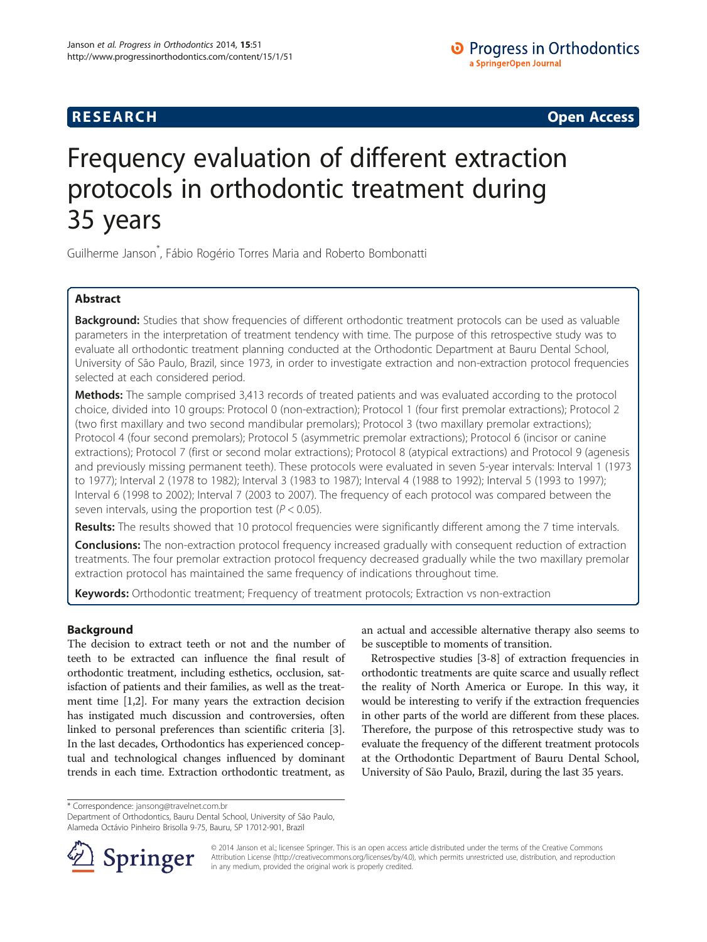**RESEARCH RESEARCH CONSUMING ACCESS** 

# Frequency evaluation of different extraction protocols in orthodontic treatment during 35 years

Guilherme Janson\* , Fábio Rogério Torres Maria and Roberto Bombonatti

# Abstract

Background: Studies that show frequencies of different orthodontic treatment protocols can be used as valuable parameters in the interpretation of treatment tendency with time. The purpose of this retrospective study was to evaluate all orthodontic treatment planning conducted at the Orthodontic Department at Bauru Dental School, University of São Paulo, Brazil, since 1973, in order to investigate extraction and non-extraction protocol frequencies selected at each considered period.

**Methods:** The sample comprised 3,413 records of treated patients and was evaluated according to the protocol choice, divided into 10 groups: Protocol 0 (non-extraction); Protocol 1 (four first premolar extractions); Protocol 2 (two first maxillary and two second mandibular premolars); Protocol 3 (two maxillary premolar extractions); Protocol 4 (four second premolars); Protocol 5 (asymmetric premolar extractions); Protocol 6 (incisor or canine extractions); Protocol 7 (first or second molar extractions); Protocol 8 (atypical extractions) and Protocol 9 (agenesis and previously missing permanent teeth). These protocols were evaluated in seven 5-year intervals: Interval 1 (1973 to 1977); Interval 2 (1978 to 1982); Interval 3 (1983 to 1987); Interval 4 (1988 to 1992); Interval 5 (1993 to 1997); Interval 6 (1998 to 2002); Interval 7 (2003 to 2007). The frequency of each protocol was compared between the seven intervals, using the proportion test ( $P < 0.05$ ).

Results: The results showed that 10 protocol frequencies were significantly different among the 7 time intervals.

**Conclusions:** The non-extraction protocol frequency increased gradually with consequent reduction of extraction treatments. The four premolar extraction protocol frequency decreased gradually while the two maxillary premolar extraction protocol has maintained the same frequency of indications throughout time.

Keywords: Orthodontic treatment; Frequency of treatment protocols; Extraction vs non-extraction

# Background

The decision to extract teeth or not and the number of teeth to be extracted can influence the final result of orthodontic treatment, including esthetics, occlusion, satisfaction of patients and their families, as well as the treatment time [\[1,2\]](#page-5-0). For many years the extraction decision has instigated much discussion and controversies, often linked to personal preferences than scientific criteria [[3](#page-5-0)]. In the last decades, Orthodontics has experienced conceptual and technological changes influenced by dominant trends in each time. Extraction orthodontic treatment, as

an actual and accessible alternative therapy also seems to be susceptible to moments of transition.

Retrospective studies [\[3-8](#page-5-0)] of extraction frequencies in orthodontic treatments are quite scarce and usually reflect the reality of North America or Europe. In this way, it would be interesting to verify if the extraction frequencies in other parts of the world are different from these places. Therefore, the purpose of this retrospective study was to evaluate the frequency of the different treatment protocols at the Orthodontic Department of Bauru Dental School, University of São Paulo, Brazil, during the last 35 years.

\* Correspondence: [jansong@travelnet.com.br](mailto:jansong@travelnet.com.br)

Department of Orthodontics, Bauru Dental School, University of São Paulo, Alameda Octávio Pinheiro Brisolla 9-75, Bauru, SP 17012-901, Brazil



© 2014 Janson et al.; licensee Springer. This is an open access article distributed under the terms of the Creative Commons Attribution License [\(http://creativecommons.org/licenses/by/4.0\)](http://creativecommons.org/licenses/by/4.0), which permits unrestricted use, distribution, and reproduction in any medium, provided the original work is properly credited.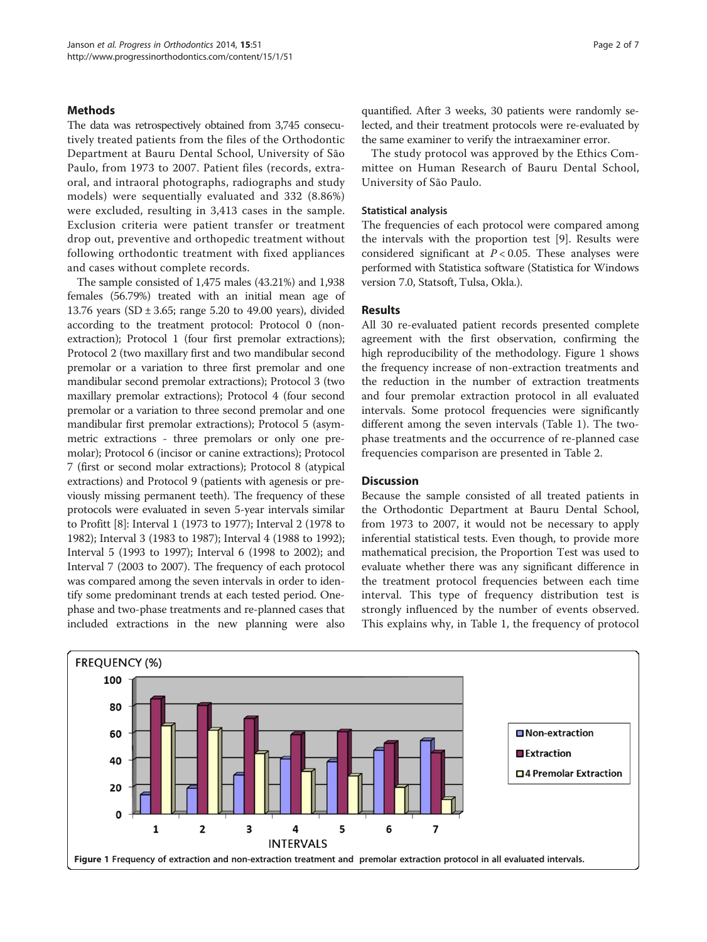# <span id="page-1-0"></span>**Methods**

The data was retrospectively obtained from 3,745 consecutively treated patients from the files of the Orthodontic Department at Bauru Dental School, University of São Paulo, from 1973 to 2007. Patient files (records, extraoral, and intraoral photographs, radiographs and study models) were sequentially evaluated and 332 (8.86%) were excluded, resulting in 3,413 cases in the sample. Exclusion criteria were patient transfer or treatment drop out, preventive and orthopedic treatment without following orthodontic treatment with fixed appliances and cases without complete records.

The sample consisted of 1,475 males (43.21%) and 1,938 females (56.79%) treated with an initial mean age of 13.76 years (SD  $\pm$  3.65; range 5.20 to 49.00 years), divided according to the treatment protocol: Protocol 0 (nonextraction); Protocol 1 (four first premolar extractions); Protocol 2 (two maxillary first and two mandibular second premolar or a variation to three first premolar and one mandibular second premolar extractions); Protocol 3 (two maxillary premolar extractions); Protocol 4 (four second premolar or a variation to three second premolar and one mandibular first premolar extractions); Protocol 5 (asymmetric extractions - three premolars or only one premolar); Protocol 6 (incisor or canine extractions); Protocol 7 (first or second molar extractions); Protocol 8 (atypical extractions) and Protocol 9 (patients with agenesis or previously missing permanent teeth). The frequency of these protocols were evaluated in seven 5-year intervals similar to Profitt [[8\]](#page-5-0): Interval 1 (1973 to 1977); Interval 2 (1978 to 1982); Interval 3 (1983 to 1987); Interval 4 (1988 to 1992); Interval 5 (1993 to 1997); Interval 6 (1998 to 2002); and Interval 7 (2003 to 2007). The frequency of each protocol was compared among the seven intervals in order to identify some predominant trends at each tested period. Onephase and two-phase treatments and re-planned cases that included extractions in the new planning were also

quantified. After 3 weeks, 30 patients were randomly selected, and their treatment protocols were re-evaluated by the same examiner to verify the intraexaminer error.

The study protocol was approved by the Ethics Committee on Human Research of Bauru Dental School, University of São Paulo.

# Statistical analysis

The frequencies of each protocol were compared among the intervals with the proportion test [\[9](#page-5-0)]. Results were considered significant at  $P < 0.05$ . These analyses were performed with Statistica software (Statistica for Windows version 7.0, Statsoft, Tulsa, Okla.).

## Results

All 30 re-evaluated patient records presented complete agreement with the first observation, confirming the high reproducibility of the methodology. Figure 1 shows the frequency increase of non-extraction treatments and the reduction in the number of extraction treatments and four premolar extraction protocol in all evaluated intervals. Some protocol frequencies were significantly different among the seven intervals (Table [1\)](#page-2-0). The twophase treatments and the occurrence of re-planned case frequencies comparison are presented in Table [2.](#page-3-0)

# **Discussion**

Because the sample consisted of all treated patients in the Orthodontic Department at Bauru Dental School, from 1973 to 2007, it would not be necessary to apply inferential statistical tests. Even though, to provide more mathematical precision, the Proportion Test was used to evaluate whether there was any significant difference in the treatment protocol frequencies between each time interval. This type of frequency distribution test is strongly influenced by the number of events observed. This explains why, in Table [1](#page-2-0), the frequency of protocol

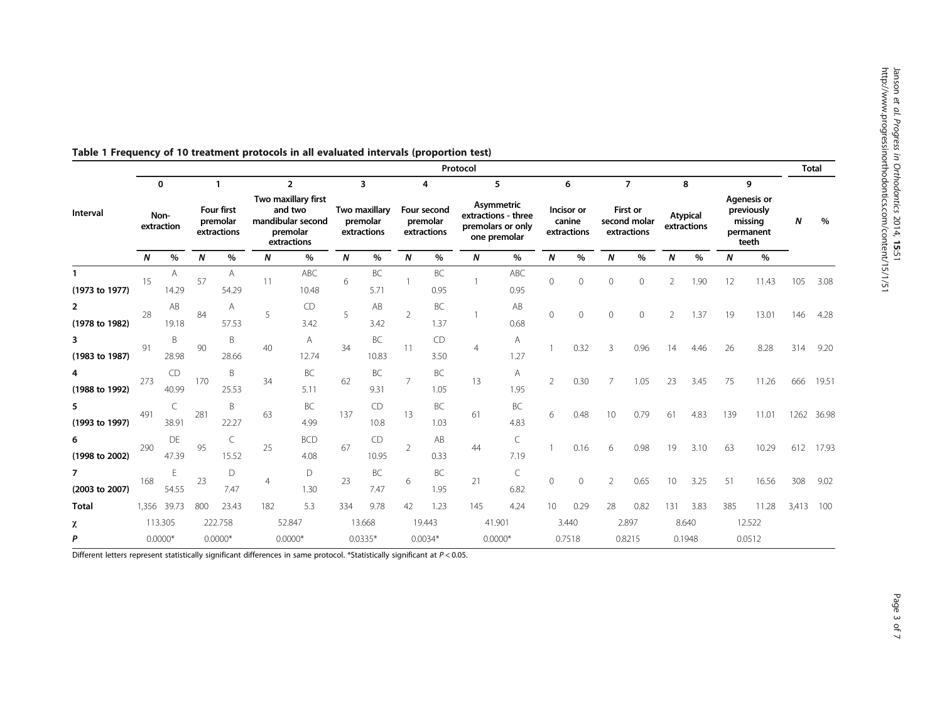|                                  | Protocol                          |             |                                            |            |                                                                                                  |                    |                                                                     |                    |                                             |                   |                                                                             |                   |                                          |         |                                                           | <b>Total</b> |                                     |      |                                                                        |       |           |            |
|----------------------------------|-----------------------------------|-------------|--------------------------------------------|------------|--------------------------------------------------------------------------------------------------|--------------------|---------------------------------------------------------------------|--------------------|---------------------------------------------|-------------------|-----------------------------------------------------------------------------|-------------------|------------------------------------------|---------|-----------------------------------------------------------|--------------|-------------------------------------|------|------------------------------------------------------------------------|-------|-----------|------------|
| Interval                         | $\mathbf 0$<br>Non-<br>extraction |             | 1<br>Four first<br>premolar<br>extractions |            | $\overline{2}$<br>Two maxillary first<br>and two<br>mandibular second<br>premolar<br>extractions |                    | $\overline{\mathbf{3}}$<br>Two maxillary<br>premolar<br>extractions |                    | 4<br>Four second<br>premolar<br>extractions |                   | 5<br>Asymmetric<br>extractions - three<br>premolars or only<br>one premolar |                   | 6<br>Incisor or<br>canine<br>extractions |         | $\overline{7}$<br>First or<br>second molar<br>extractions |              | 8<br><b>Atypical</b><br>extractions |      | 9<br><b>Agenesis or</b><br>previously<br>missing<br>permanent<br>teeth |       |           |            |
|                                  |                                   |             |                                            |            |                                                                                                  |                    |                                                                     |                    |                                             |                   |                                                                             |                   |                                          |         |                                                           |              |                                     |      |                                                                        |       | N         | %          |
|                                  | $\boldsymbol{N}$                  | $\%$        | N                                          | $\%$       | N                                                                                                | $\%$               | N                                                                   | $\%$               | N                                           | $\%$              | $\boldsymbol{N}$                                                            | %                 | N                                        | $\%$    | N                                                         | $\%$         | Ν                                   | $\%$ | N                                                                      | $\%$  |           |            |
| (1973 to 1977)                   | 15                                | A<br>14.29  | 57                                         | A<br>54.29 | 11                                                                                               | ABC<br>10.48       | 6                                                                   | BC<br>5.71         |                                             | BC<br>0.95        |                                                                             | ABC<br>0.95       | $\mathbf{0}$                             | 0       | $\circ$                                                   | 0            | $\overline{2}$                      | 1.90 | 12                                                                     | 11.43 | 105       | 3.08       |
| $\overline{2}$<br>(1978 to 1982) | 28                                | AB<br>19.18 | 84                                         | Α<br>57.53 | 5                                                                                                | CD<br>3.42         | 5                                                                   | AB<br>3.42         | 2                                           | BC<br>1.37        |                                                                             | AB<br>0.68        | $\Omega$                                 | 0       | $\circ$                                                   | $\circ$      | 2                                   | 1.37 | 19                                                                     | 13.01 | 146       | 4.28       |
| 3<br>(1983 to 1987)              | 91                                | B<br>28.98  | 90                                         | B<br>28.66 | 40                                                                                               | A<br>12.74         | 34                                                                  | <b>BC</b><br>10.83 | 11                                          | CD<br>3.50        | 4                                                                           | A<br>1.27         |                                          | 0.32    | ζ                                                         | 0.96         | 14                                  | 4.46 | 26                                                                     | 8.28  | 314       | 9.20       |
| 4<br>(1988 to 1992)              | 273                               | CD<br>40.99 | 170                                        | B<br>25.53 | 34                                                                                               | BC<br>5.11         | 62                                                                  | <b>BC</b><br>9.31  | $\overline{7}$                              | BC<br>1.05        | 13                                                                          | Α<br>1.95         | $\overline{2}$                           | 0.30    |                                                           | 1.05         | 23                                  | 3.45 | 75                                                                     | 11.26 | 666       | 19.51      |
| 5<br>(1993 to 1997)              | 491                               | C<br>38.91  | 281                                        | B<br>22.27 | 63                                                                                               | BC<br>4.99         | 137                                                                 | CD<br>10.8         | 13                                          | <b>BC</b><br>1.03 | 61                                                                          | BC<br>4.83        | 6                                        | 0.48    | 10                                                        | 0.79         | 61                                  | 4.83 | 139                                                                    | 11.01 |           | 1262 36.98 |
| 6<br>(1998 to 2002)              | 290                               | DE<br>47.39 | 95                                         | C<br>15.52 | 25                                                                                               | <b>BCD</b><br>4.08 | 67                                                                  | CD<br>10.95        | $\overline{2}$                              | AB<br>0.33        | 44                                                                          | $\subset$<br>7.19 |                                          | 0.16    | 6                                                         | 0.98         | 19                                  | 3.10 | 63                                                                     | 10.29 | 612       | 17.93      |
| 7<br>(2003 to 2007)              | 168                               | E<br>54.55  | 23                                         | D<br>7.47  | 4                                                                                                | D<br>1.30          | 23                                                                  | BC<br>7.47         | 6                                           | BC<br>1.95        | 21                                                                          | C<br>6.82         | $\mathbf{0}$                             | $\circ$ | $\overline{2}$                                            | 0.65         | 10                                  | 3.25 | 51                                                                     | 16.56 | 308       | 9.02       |
| Total                            | 1,356                             | 39.73       | 800                                        | 23.43      | 182                                                                                              | 5.3                | 334                                                                 | 9.78               | 42                                          | 1.23              | 145                                                                         | 4.24              | 10                                       | 0.29    | 28                                                        | 0.82         | 131                                 | 3.83 | 385                                                                    | 11.28 | 3,413 100 |            |
| χ                                | 113.305                           |             | 222.758                                    |            | 52.847                                                                                           |                    | 13.668                                                              |                    | 19.443                                      |                   | 41.901                                                                      |                   | 3.440                                    |         | 2.897                                                     |              | 8.640                               |      | 12.522                                                                 |       |           |            |
| P                                | $0.0000*$                         |             | $0.0000*$                                  |            | $0.0000*$                                                                                        |                    | $0.0335*$                                                           |                    | $0.0034*$                                   |                   | $0.0000*$                                                                   |                   | 0.7518                                   |         | 0.8215                                                    |              | 0.1948                              |      | 0.0512                                                                 |       |           |            |

<span id="page-2-0"></span>Table 1 Frequency of 10 treatment protocols in all evaluated intervals (proportion test)

Different letters represent statistically significant differences in same protocol. \*Statistically significant at P < 0.05.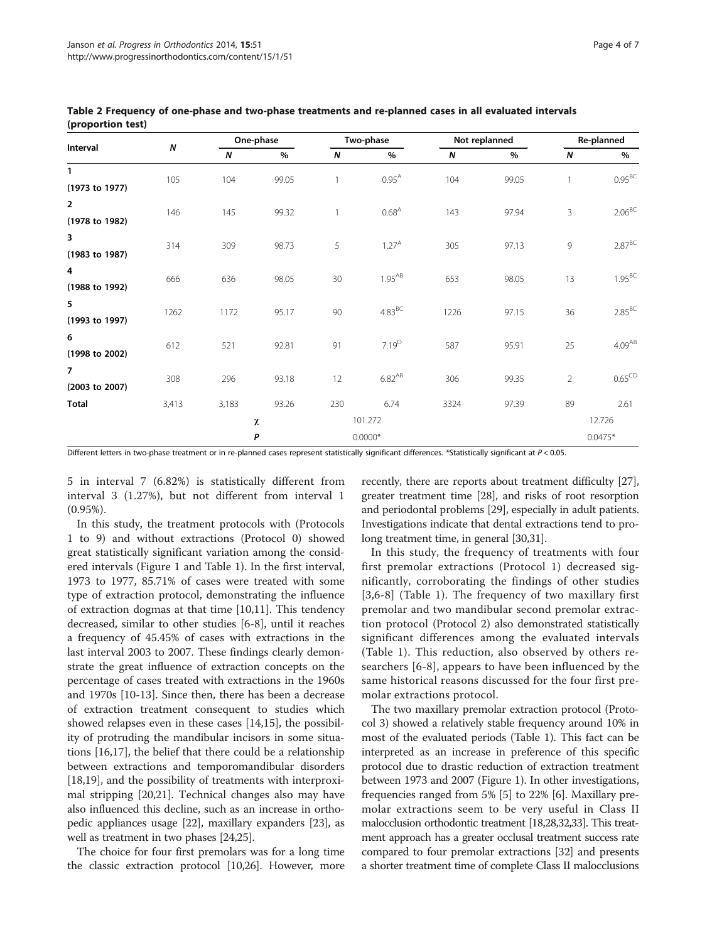|                                  |       |              | One-phase |                  | Two-phase       |      | Not replanned | Re-planned     |                    |  |
|----------------------------------|-------|--------------|-----------|------------------|-----------------|------|---------------|----------------|--------------------|--|
| Interval                         | N     | N            | $\%$      | $\boldsymbol{N}$ | %               | N    | %             | N              | %                  |  |
| $\mathbf{1}$<br>(1973 to 1977)   | 105   | 104          | 99.05     | 1                | $0.95^{A}$      | 104  | 99.05         | $\overline{1}$ | $0.95^{BC}$        |  |
| $\overline{2}$<br>(1978 to 1982) | 146   | 145          | 99.32     | $\overline{1}$   | $0.68^{A}$      | 143  | 97.94         | 3              | $2.06^{BC}$        |  |
| 3<br>(1983 to 1987)              | 314   | 309          | 98.73     | 5                | $1.27^{A}$      | 305  | 97.13         | 9              | $2.87^{BC}$        |  |
| 4<br>(1988 to 1992)              | 666   | 636          | 98.05     | 30               | $1.95^{AB}$     | 653  | 98.05         | 13             | $1.95^{BC}$        |  |
| 5<br>(1993 to 1997)              | 1262  | 1172         | 95.17     | 90               | $4.83\text{BC}$ | 1226 | 97.15         | 36             | $2.85^{BC}$        |  |
| 6<br>(1998 to 2002)              | 612   | 521          | 92.81     | 91               | $7.19^{D}$      | 587  | 95.91         | 25             | 4.09 <sup>AB</sup> |  |
| $\overline{7}$<br>(2003 to 2007) | 308   | 296          | 93.18     | 12               | $6.82^{AB}$     | 306  | 99.35         | $\overline{2}$ | $0.65^{\text{CD}}$ |  |
| <b>Total</b>                     | 3,413 | 3,183        | 93.26     | 230              | 6.74            | 3324 | 97.39         | 89             | 2.61<br>12.726     |  |
|                                  |       | 101.272<br>χ |           |                  |                 |      |               |                |                    |  |

<span id="page-3-0"></span>Table 2 Frequency of one-phase and two-phase treatments and re-planned cases in all evaluated intervals (proportion test)

Different letters in two-phase treatment or in re-planned cases represent statistically significant differences. \*Statistically significant at P < 0.05.

5 in interval 7 (6.82%) is statistically different from interval 3 (1.27%), but not different from interval 1 (0.95%).

In this study, the treatment protocols with (Protocols 1 to 9) and without extractions (Protocol 0) showed great statistically significant variation among the considered intervals (Figure [1](#page-1-0) and Table [1\)](#page-2-0). In the first interval, 1973 to 1977, 85.71% of cases were treated with some type of extraction protocol, demonstrating the influence of extraction dogmas at that time [[10,11\]](#page-5-0). This tendency decreased, similar to other studies [[6-8](#page-5-0)], until it reaches a frequency of 45.45% of cases with extractions in the last interval 2003 to 2007. These findings clearly demonstrate the great influence of extraction concepts on the percentage of cases treated with extractions in the 1960s and 1970s [[10](#page-5-0)-[13\]](#page-5-0). Since then, there has been a decrease of extraction treatment consequent to studies which showed relapses even in these cases [\[14,15\]](#page-5-0), the possibility of protruding the mandibular incisors in some situations [[16,17\]](#page-5-0), the belief that there could be a relationship between extractions and temporomandibular disorders [[18,19\]](#page-5-0), and the possibility of treatments with interproximal stripping [\[20,21](#page-5-0)]. Technical changes also may have also influenced this decline, such as an increase in orthopedic appliances usage [[22](#page-5-0)], maxillary expanders [[23](#page-5-0)], as well as treatment in two phases [\[24,25](#page-5-0)].

The choice for four first premolars was for a long time the classic extraction protocol [\[10,26\]](#page-5-0). However, more

recently, there are reports about treatment difficulty [[27](#page-5-0)], greater treatment time [[28](#page-5-0)], and risks of root resorption and periodontal problems [[29](#page-5-0)], especially in adult patients. Investigations indicate that dental extractions tend to prolong treatment time, in general [\[30,31\]](#page-5-0).

**P** 0.0000<sup>\*</sup> 0.0000<sup>\*</sup>

In this study, the frequency of treatments with four first premolar extractions (Protocol 1) decreased significantly, corroborating the findings of other studies [[3,6-8](#page-5-0)] (Table [1\)](#page-2-0). The frequency of two maxillary first premolar and two mandibular second premolar extraction protocol (Protocol 2) also demonstrated statistically significant differences among the evaluated intervals (Table [1](#page-2-0)). This reduction, also observed by others researchers [[6-8](#page-5-0)], appears to have been influenced by the same historical reasons discussed for the four first premolar extractions protocol.

The two maxillary premolar extraction protocol (Protocol 3) showed a relatively stable frequency around 10% in most of the evaluated periods (Table [1](#page-2-0)). This fact can be interpreted as an increase in preference of this specific protocol due to drastic reduction of extraction treatment between 1973 and 2007 (Figure [1\)](#page-1-0). In other investigations, frequencies ranged from 5% [[5](#page-5-0)] to 22% [\[6](#page-5-0)]. Maxillary premolar extractions seem to be very useful in Class II malocclusion orthodontic treatment [\[18,28,32,33\]](#page-5-0). This treatment approach has a greater occlusal treatment success rate compared to four premolar extractions [[32](#page-5-0)] and presents a shorter treatment time of complete Class II malocclusions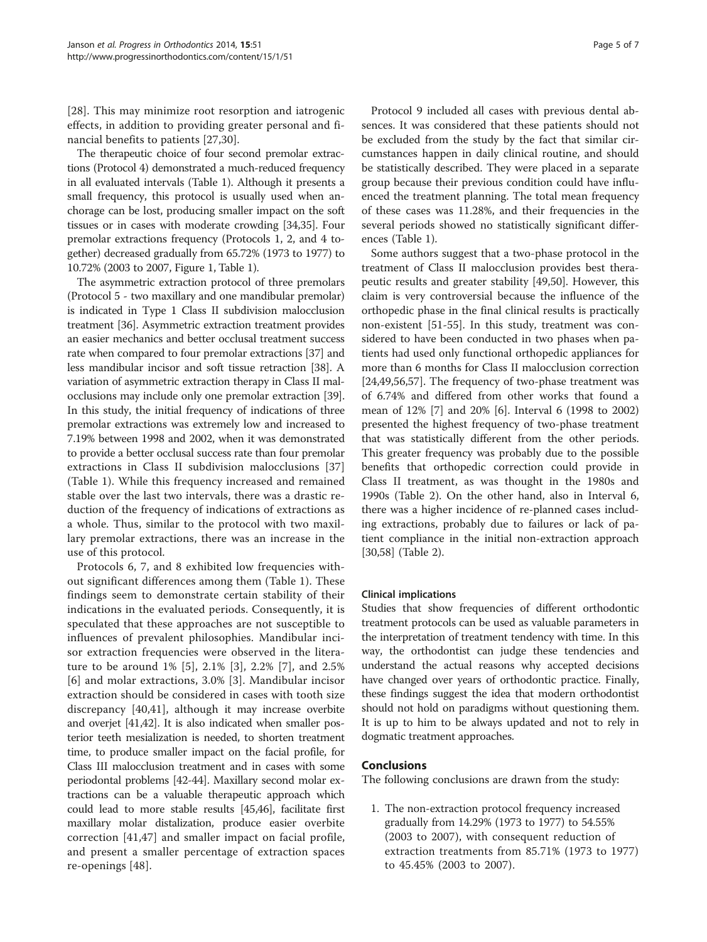[[28\]](#page-5-0). This may minimize root resorption and iatrogenic effects, in addition to providing greater personal and financial benefits to patients [\[27,30](#page-5-0)].

The therapeutic choice of four second premolar extractions (Protocol 4) demonstrated a much-reduced frequency in all evaluated intervals (Table [1](#page-2-0)). Although it presents a small frequency, this protocol is usually used when anchorage can be lost, producing smaller impact on the soft tissues or in cases with moderate crowding [\[34,35\]](#page-5-0). Four premolar extractions frequency (Protocols 1, 2, and 4 together) decreased gradually from 65.72% (1973 to 1977) to 10.72% (2003 to 2007, Figure [1,](#page-1-0) Table [1](#page-2-0)).

The asymmetric extraction protocol of three premolars (Protocol 5 - two maxillary and one mandibular premolar) is indicated in Type 1 Class II subdivision malocclusion treatment [[36\]](#page-5-0). Asymmetric extraction treatment provides an easier mechanics and better occlusal treatment success rate when compared to four premolar extractions [\[37\]](#page-5-0) and less mandibular incisor and soft tissue retraction [[38\]](#page-5-0). A variation of asymmetric extraction therapy in Class II malocclusions may include only one premolar extraction [[39](#page-5-0)]. In this study, the initial frequency of indications of three premolar extractions was extremely low and increased to 7.19% between 1998 and 2002, when it was demonstrated to provide a better occlusal success rate than four premolar extractions in Class II subdivision malocclusions [\[37](#page-5-0)] (Table [1\)](#page-2-0). While this frequency increased and remained stable over the last two intervals, there was a drastic reduction of the frequency of indications of extractions as a whole. Thus, similar to the protocol with two maxillary premolar extractions, there was an increase in the use of this protocol.

Protocols 6, 7, and 8 exhibited low frequencies without significant differences among them (Table [1](#page-2-0)). These findings seem to demonstrate certain stability of their indications in the evaluated periods. Consequently, it is speculated that these approaches are not susceptible to influences of prevalent philosophies. Mandibular incisor extraction frequencies were observed in the literature to be around 1% [\[5](#page-5-0)], 2.1% [[3\]](#page-5-0), 2.2% [[7\]](#page-5-0), and 2.5% [[6](#page-5-0)] and molar extractions, 3.0% [\[3](#page-5-0)]. Mandibular incisor extraction should be considered in cases with tooth size discrepancy [\[40](#page-5-0),[41\]](#page-5-0), although it may increase overbite and overjet [\[41,42](#page-5-0)]. It is also indicated when smaller posterior teeth mesialization is needed, to shorten treatment time, to produce smaller impact on the facial profile, for Class III malocclusion treatment and in cases with some periodontal problems [[42](#page-5-0)-[44](#page-6-0)]. Maxillary second molar extractions can be a valuable therapeutic approach which could lead to more stable results [[45,46\]](#page-6-0), facilitate first maxillary molar distalization, produce easier overbite correction [[41](#page-5-0)[,47](#page-6-0)] and smaller impact on facial profile, and present a smaller percentage of extraction spaces re-openings [\[48](#page-6-0)].

Protocol 9 included all cases with previous dental absences. It was considered that these patients should not be excluded from the study by the fact that similar circumstances happen in daily clinical routine, and should be statistically described. They were placed in a separate group because their previous condition could have influenced the treatment planning. The total mean frequency of these cases was 11.28%, and their frequencies in the several periods showed no statistically significant differences (Table [1](#page-2-0)).

Some authors suggest that a two-phase protocol in the treatment of Class II malocclusion provides best therapeutic results and greater stability [[49,50\]](#page-6-0). However, this claim is very controversial because the influence of the orthopedic phase in the final clinical results is practically non-existent [\[51](#page-6-0)-[55\]](#page-6-0). In this study, treatment was considered to have been conducted in two phases when patients had used only functional orthopedic appliances for more than 6 months for Class II malocclusion correction [[24,](#page-5-0)[49,56,57\]](#page-6-0). The frequency of two-phase treatment was of 6.74% and differed from other works that found a mean of 12% [[7\]](#page-5-0) and 20% [[6\]](#page-5-0). Interval 6 (1998 to 2002) presented the highest frequency of two-phase treatment that was statistically different from the other periods. This greater frequency was probably due to the possible benefits that orthopedic correction could provide in Class II treatment, as was thought in the 1980s and 1990s (Table [2\)](#page-3-0). On the other hand, also in Interval 6, there was a higher incidence of re-planned cases including extractions, probably due to failures or lack of patient compliance in the initial non-extraction approach [[30,](#page-5-0)[58\]](#page-6-0) (Table [2\)](#page-3-0).

### Clinical implications

Studies that show frequencies of different orthodontic treatment protocols can be used as valuable parameters in the interpretation of treatment tendency with time. In this way, the orthodontist can judge these tendencies and understand the actual reasons why accepted decisions have changed over years of orthodontic practice. Finally, these findings suggest the idea that modern orthodontist should not hold on paradigms without questioning them. It is up to him to be always updated and not to rely in dogmatic treatment approaches.

### Conclusions

The following conclusions are drawn from the study:

1. The non-extraction protocol frequency increased gradually from 14.29% (1973 to 1977) to 54.55% (2003 to 2007), with consequent reduction of extraction treatments from 85.71% (1973 to 1977) to 45.45% (2003 to 2007).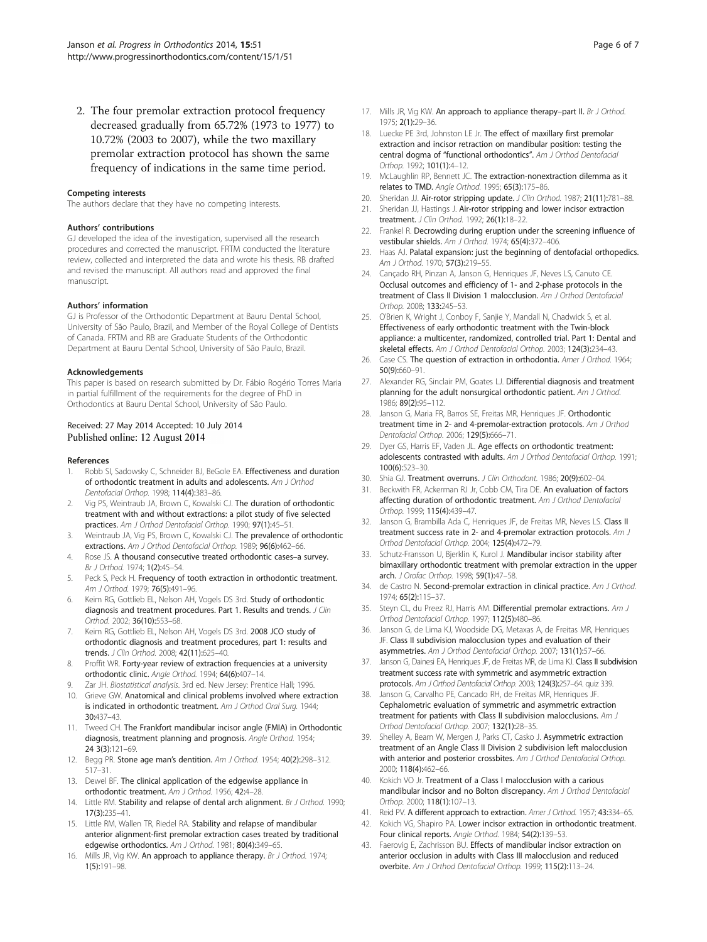<span id="page-5-0"></span>2. The four premolar extraction protocol frequency decreased gradually from 65.72% (1973 to 1977) to 10.72% (2003 to 2007), while the two maxillary premolar extraction protocol has shown the same frequency of indications in the same time period.

#### Competing interests

The authors declare that they have no competing interests.

#### Authors' contributions

GJ developed the idea of the investigation, supervised all the research procedures and corrected the manuscript. FRTM conducted the literature review, collected and interpreted the data and wrote his thesis. RB drafted and revised the manuscript. All authors read and approved the final manuscript.

#### Authors' information

GJ is Professor of the Orthodontic Department at Bauru Dental School, University of São Paulo, Brazil, and Member of the Royal College of Dentists of Canada. FRTM and RB are Graduate Students of the Orthodontic Department at Bauru Dental School, University of São Paulo, Brazil.

#### Acknowledgements

This paper is based on research submitted by Dr. Fábio Rogério Torres Maria in partial fulfillment of the requirements for the degree of PhD in Orthodontics at Bauru Dental School, University of São Paulo.

#### Received: 27 May 2014 Accepted: 10 July 2014 Published online: 12 August 2014

#### References

- Robb SI, Sadowsky C, Schneider BJ, BeGole EA. Effectiveness and duration of orthodontic treatment in adults and adolescents. Am J Orthod Dentofacial Orthop. 1998; 114(4):383–86.
- 2. Vig PS, Weintraub JA, Brown C, Kowalski CJ. The duration of orthodontic treatment with and without extractions: a pilot study of five selected practices. Am J Orthod Dentofacial Orthop. 1990; 97(1):45–51.
- 3. Weintraub JA, Vig PS, Brown C, Kowalski CJ. The prevalence of orthodontic extractions. Am J Orthod Dentofacial Orthop. 1989; 96(6):462–66.
- 4. Rose JS. A thousand consecutive treated orthodontic cases–a survey. Br J Orthod. 1974; 1(2):45–54.
- 5. Peck S, Peck H. Frequency of tooth extraction in orthodontic treatment. Am J Orthod. 1979; 76(5):491–96.
- 6. Keim RG, Gottlieb EL, Nelson AH, Vogels DS 3rd. Study of orthodontic diagnosis and treatment procedures. Part 1. Results and trends. J Clin Orthod. 2002; 36(10):553–68.
- 7. Keim RG, Gottlieb EL, Nelson AH, Vogels DS 3rd. 2008 JCO study of orthodontic diagnosis and treatment procedures, part 1: results and trends. J Clin Orthod. 2008; 42(11):625–40.
- 8. Proffit WR. Forty-year review of extraction frequencies at a university orthodontic clinic. Angle Orthod. 1994; 64(6):407–14.
- 9. Zar JH. Biostatistical analysis. 3rd ed. New Jersey: Prentice Hall; 1996.
- 10. Grieve GW. Anatomical and clinical problems involved where extraction is indicated in orthodontic treatment. Am J Orthod Oral Surg. 1944; 30:437–43.
- 11. Tweed CH. The Frankfort mandibular incisor angle (FMIA) in Orthodontic diagnosis, treatment planning and prognosis. Angle Orthod. 1954; 24 3(3):121–69.
- 12. Begg PR. Stone age man's dentition. Am J Orthod. 1954; 40(2):298-312. 517–31.
- 13. Dewel BF. The clinical application of the edgewise appliance in orthodontic treatment. Am J Orthod. 1956; 42:4–28.
- 14. Little RM. Stability and relapse of dental arch alignment. Br J Orthod. 1990; 17(3):235–41.
- 15. Little RM, Wallen TR, Riedel RA. Stability and relapse of mandibular anterior alignment-first premolar extraction cases treated by traditional edgewise orthodontics. Am J Orthod. 1981; 80(4):349-65.
- 16. Mills JR, Vig KW. An approach to appliance therapy. Br J Orthod. 1974; 1(5):191–98.
- 17. Mills JR, Vig KW. An approach to appliance therapy-part II. Br J Orthod. 1975; 2(1):29–36.
- 18. Luecke PE 3rd, Johnston LE, Jr. The effect of maxillary first premolar extraction and incisor retraction on mandibular position: testing the central dogma of "functional orthodontics". Am J Orthod Dentofacial Orthop. 1992; 101(1):4–12.
- 19. McLaughlin RP, Bennett JC. The extraction-nonextraction dilemma as it relates to TMD. Angle Orthod. 1995; 65(3):175-86.
- 20. Sheridan JJ. Air-rotor stripping update. J Clin Orthod. 1987; 21(11):781-88.
- 21. Sheridan JJ, Hastings J. Air-rotor stripping and lower incisor extraction treatment. J Clin Orthod. 1992; 26(1):18–22.
- 22. Frankel R. Decrowding during eruption under the screening influence of vestibular shields. Am J Orthod. 1974; 65(4):372–406.
- 23. Haas AJ. Palatal expansion: just the beginning of dentofacial orthopedics. Am J Orthod. 1970; 57(3):219-55.
- 24. Cançado RH, Pinzan A, Janson G, Henriques JF, Neves LS, Canuto CE. Occlusal outcomes and efficiency of 1- and 2-phase protocols in the treatment of Class II Division 1 malocclusion. Am J Orthod Dentofacial Orthop. 2008; 133:245–53.
- 25. O'Brien K, Wright J, Conboy F, Sanjie Y, Mandall N, Chadwick S, et al. Effectiveness of early orthodontic treatment with the Twin-block appliance: a multicenter, randomized, controlled trial. Part 1: Dental and skeletal effects. Am J Orthod Dentofacial Orthop. 2003; 124(3):234–43.
- 26. Case CS. The question of extraction in orthodontia. Amer J Orthod. 1964; 50(9):660–91.
- 27. Alexander RG, Sinclair PM, Goates LJ. Differential diagnosis and treatment planning for the adult nonsurgical orthodontic patient. Am J Orthod. 1986; 89(2):95–112.
- Janson G, Maria FR, Barros SE, Freitas MR, Henriques JF. Orthodontic treatment time in 2- and 4-premolar-extraction protocols. Am J Orthod Dentofacial Orthop. 2006; 129(5):666–71.
- 29. Dyer GS, Harris EF, Vaden JL. Age effects on orthodontic treatment: adolescents contrasted with adults. Am J Orthod Dentofacial Orthop. 1991; 100(6):523–30.
- 30. Shia GJ. Treatment overruns. J Clin Orthodont. 1986; 20(9):602-04.
- 31. Beckwith FR, Ackerman RJ Jr, Cobb CM, Tira DE. An evaluation of factors affecting duration of orthodontic treatment. Am J Orthod Dentofacial Orthop. 1999; 115(4):439–47.
- 32. Janson G, Brambilla Ada C, Henriques JF, de Freitas MR, Neves LS. Class II treatment success rate in 2- and 4-premolar extraction protocols. Am J Orthod Dentofacial Orthop. 2004; 125(4):472–79.
- 33. Schutz-Fransson U, Bjerklin K, Kurol J. Mandibular incisor stability after bimaxillary orthodontic treatment with premolar extraction in the upper arch. J Orofac Orthop. 1998; 59(1):47–58.
- 34. de Castro N. Second-premolar extraction in clinical practice. Am J Orthod. 1974; 65(2):115–37.
- 35. Steyn CL, du Preez RJ, Harris AM. Differential premolar extractions. Am J Orthod Dentofacial Orthop. 1997; 112(5):480–86.
- 36. Janson G, de Lima KJ, Woodside DG, Metaxas A, de Freitas MR, Henriques JF. Class II subdivision malocclusion types and evaluation of their asymmetries. Am J Orthod Dentofacial Orthop. 2007; 131(1):57–66.
- 37. Janson G, Dainesi EA, Henriques JF, de Freitas MR, de Lima KJ. Class II subdivision treatment success rate with symmetric and asymmetric extraction protocols. Am J Orthod Dentofacial Orthop. 2003; 124(3):257–64. quiz 339.
- 38. Janson G, Carvalho PE, Cancado RH, de Freitas MR, Henriques JF. Cephalometric evaluation of symmetric and asymmetric extraction treatment for patients with Class II subdivision malocclusions. Am J Orthod Dentofacial Orthop. 2007; 132(1):28–35.
- 39. Shelley A, Beam W, Mergen J, Parks CT, Casko J. Asymmetric extraction treatment of an Angle Class II Division 2 subdivision left malocclusion with anterior and posterior crossbites. Am J Orthod Dentofacial Orthop. 2000; 118(4):462–66.
- 40. Kokich VO Jr. Treatment of a Class I malocclusion with a carious mandibular incisor and no Bolton discrepancy. Am J Orthod Dentofacial Orthop. 2000; 118(1):107–13.
- 41. Reid PV. A different approach to extraction. Amer J Orthod. 1957; 43:334-65.
- 42. Kokich VG, Shapiro PA. Lower incisor extraction in orthodontic treatment. Four clinical reports. Angle Orthod. 1984; 54(2):139–53.
- 43. Faerovig E, Zachrisson BU. Effects of mandibular incisor extraction on anterior occlusion in adults with Class III malocclusion and reduced overbite. Am J Orthod Dentofacial Orthop. 1999; 115(2):113–24.